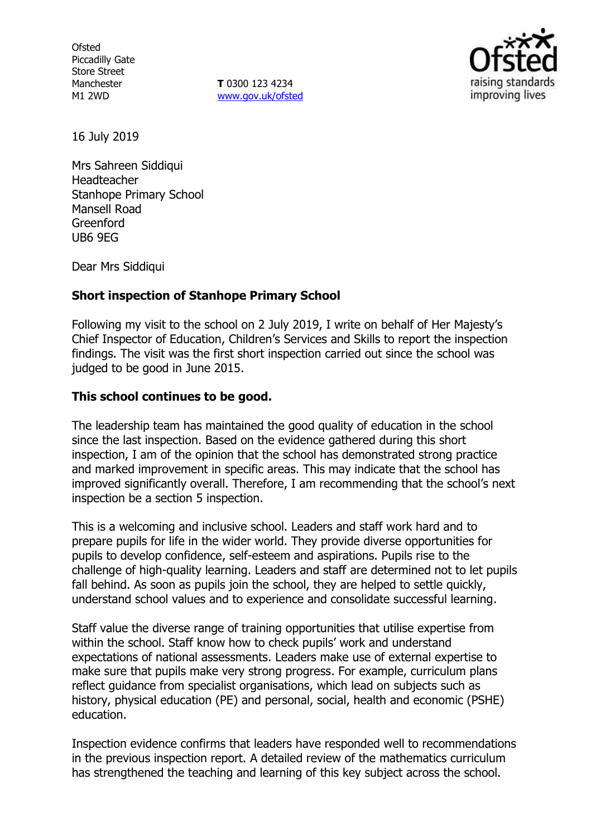**Ofsted** Piccadilly Gate Store Street Manchester M1 2WD

**T** 0300 123 4234 www.gov.uk/ofsted



16 July 2019

Mrs Sahreen Siddiqui Headteacher Stanhope Primary School Mansell Road Greenford UB6 9EG

Dear Mrs Siddiqui

#### **Short inspection of Stanhope Primary School**

Following my visit to the school on 2 July 2019, I write on behalf of Her Majesty's Chief Inspector of Education, Children's Services and Skills to report the inspection findings. The visit was the first short inspection carried out since the school was judged to be good in June 2015.

#### **This school continues to be good.**

The leadership team has maintained the good quality of education in the school since the last inspection. Based on the evidence gathered during this short inspection, I am of the opinion that the school has demonstrated strong practice and marked improvement in specific areas. This may indicate that the school has improved significantly overall. Therefore, I am recommending that the school's next inspection be a section 5 inspection.

This is a welcoming and inclusive school. Leaders and staff work hard and to prepare pupils for life in the wider world. They provide diverse opportunities for pupils to develop confidence, self-esteem and aspirations. Pupils rise to the challenge of high-quality learning. Leaders and staff are determined not to let pupils fall behind. As soon as pupils join the school, they are helped to settle quickly, understand school values and to experience and consolidate successful learning.

Staff value the diverse range of training opportunities that utilise expertise from within the school. Staff know how to check pupils' work and understand expectations of national assessments. Leaders make use of external expertise to make sure that pupils make very strong progress. For example, curriculum plans reflect guidance from specialist organisations, which lead on subjects such as history, physical education (PE) and personal, social, health and economic (PSHE) education.

Inspection evidence confirms that leaders have responded well to recommendations in the previous inspection report. A detailed review of the mathematics curriculum has strengthened the teaching and learning of this key subject across the school.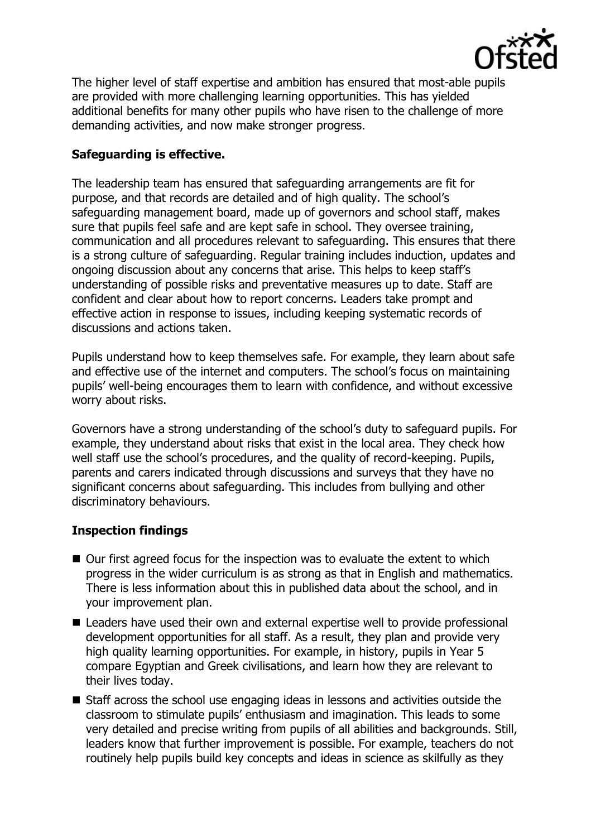

The higher level of staff expertise and ambition has ensured that most-able pupils are provided with more challenging learning opportunities. This has yielded additional benefits for many other pupils who have risen to the challenge of more demanding activities, and now make stronger progress.

# **Safeguarding is effective.**

The leadership team has ensured that safeguarding arrangements are fit for purpose, and that records are detailed and of high quality. The school's safeguarding management board, made up of governors and school staff, makes sure that pupils feel safe and are kept safe in school. They oversee training, communication and all procedures relevant to safeguarding. This ensures that there is a strong culture of safeguarding. Regular training includes induction, updates and ongoing discussion about any concerns that arise. This helps to keep staff's understanding of possible risks and preventative measures up to date. Staff are confident and clear about how to report concerns. Leaders take prompt and effective action in response to issues, including keeping systematic records of discussions and actions taken.

Pupils understand how to keep themselves safe. For example, they learn about safe and effective use of the internet and computers. The school's focus on maintaining pupils' well-being encourages them to learn with confidence, and without excessive worry about risks.

Governors have a strong understanding of the school's duty to safeguard pupils. For example, they understand about risks that exist in the local area. They check how well staff use the school's procedures, and the quality of record-keeping. Pupils, parents and carers indicated through discussions and surveys that they have no significant concerns about safeguarding. This includes from bullying and other discriminatory behaviours.

## **Inspection findings**

- Our first agreed focus for the inspection was to evaluate the extent to which progress in the wider curriculum is as strong as that in English and mathematics. There is less information about this in published data about the school, and in your improvement plan.
- Leaders have used their own and external expertise well to provide professional development opportunities for all staff. As a result, they plan and provide very high quality learning opportunities. For example, in history, pupils in Year 5 compare Egyptian and Greek civilisations, and learn how they are relevant to their lives today.
- Staff across the school use engaging ideas in lessons and activities outside the classroom to stimulate pupils' enthusiasm and imagination. This leads to some very detailed and precise writing from pupils of all abilities and backgrounds. Still, leaders know that further improvement is possible. For example, teachers do not routinely help pupils build key concepts and ideas in science as skilfully as they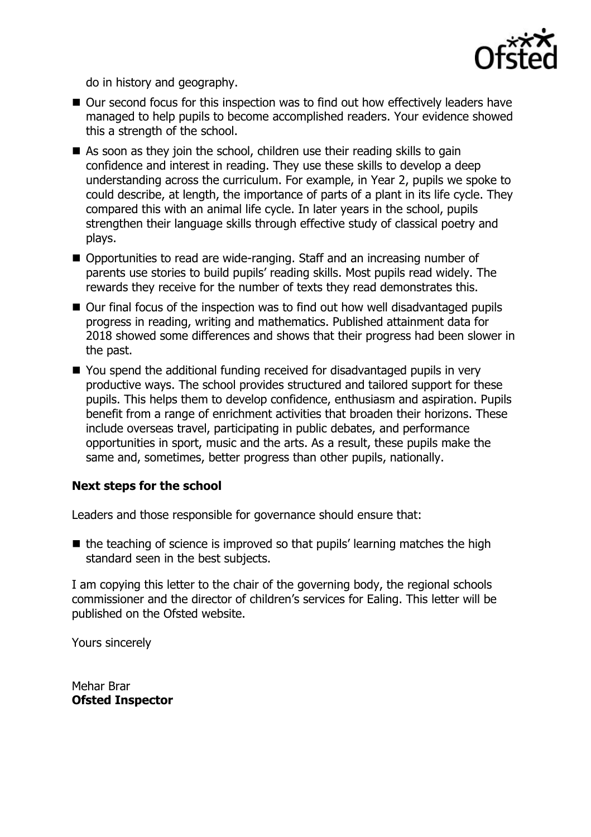

do in history and geography.

- Our second focus for this inspection was to find out how effectively leaders have managed to help pupils to become accomplished readers. Your evidence showed this a strength of the school.
- As soon as they join the school, children use their reading skills to gain confidence and interest in reading. They use these skills to develop a deep understanding across the curriculum. For example, in Year 2, pupils we spoke to could describe, at length, the importance of parts of a plant in its life cycle. They compared this with an animal life cycle. In later years in the school, pupils strengthen their language skills through effective study of classical poetry and plays.
- Opportunities to read are wide-ranging. Staff and an increasing number of parents use stories to build pupils' reading skills. Most pupils read widely. The rewards they receive for the number of texts they read demonstrates this.
- Our final focus of the inspection was to find out how well disadvantaged pupils progress in reading, writing and mathematics. Published attainment data for 2018 showed some differences and shows that their progress had been slower in the past.
- You spend the additional funding received for disadvantaged pupils in very productive ways. The school provides structured and tailored support for these pupils. This helps them to develop confidence, enthusiasm and aspiration. Pupils benefit from a range of enrichment activities that broaden their horizons. These include overseas travel, participating in public debates, and performance opportunities in sport, music and the arts. As a result, these pupils make the same and, sometimes, better progress than other pupils, nationally.

## **Next steps for the school**

Leaders and those responsible for governance should ensure that:

 $\blacksquare$  the teaching of science is improved so that pupils' learning matches the high standard seen in the best subjects.

I am copying this letter to the chair of the governing body, the regional schools commissioner and the director of children's services for Ealing. This letter will be published on the Ofsted website.

Yours sincerely

Mehar Brar **Ofsted Inspector**